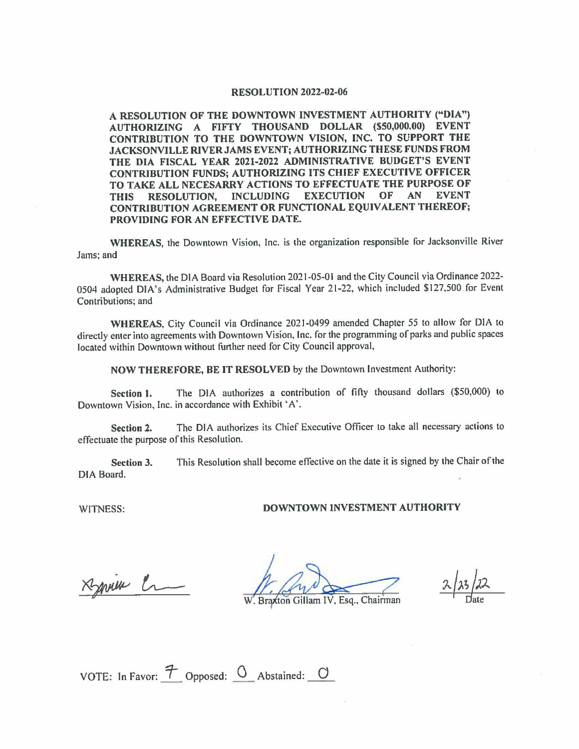## **RESOLUTION 2022-02-06**

**A RESOLUTION OF THE DOWNTOWN INVESTMENT AUTHORITY ("DIA") AUTHORIZING A FIFTY THOUSAND DOLLAR (\$50,000.00) EVENT CONTRIBUTION TO THE DOWNTOWN VISION, INC. TO SUPPORT THE JACKSONVILLE RIVER JAMS EVENT; AUTHORIZING THESE FUNDS FROM THE DIA FISCAL YEAR 2021-2022 ADMINISTRATIVE BUDGET'S EVENT CONTRIBUTION FUNDS; AUTHORIZING ITS CHIEF EXECUTIVE OFFICER TO TAKE ALL NECESARRY ACTIONS TO EFFECTUATE THE PURPOSE OF THIS RESOLUTION, INCLUDING EXECUTION OF AN EVENT CONTRIBUTION AGREEMENT OR FUNCTIONAL EQUIVALENT THEREOF; PROVIDING FOR AN EFFECTIVE DATE.** 

**WHEREAS,** the Downtown Vision, Inc. is the organization responsible for Jacksonville River Jams; and

**WHEREAS,** the DIA Board via Resolution 2021-05-01 and the City Council via Ordinance 2022- 0504 adopted DIA's Administrative Budget for Fiscal Year 21-22, which included \$127,500 for Event Contributions; and

**WHEREAS,** City Council via Ordinance 2021-0499 amended Chapter 55 to allow for DIA to directly enter into agreements with Downtown Vision, Inc. for the programming of parks and public spaces located within Downtown without further need for City Council approval,

**NOW THEREFORE, BE IT RESOLVED** by the Downtown Investment Authority:

**Section 1.** The DIA authorizes a contribution of fifty thousand dollars (\$50,000) to Downtown Vision, Inc. in accordance with Exhibit 'A'.

Section 2. The DIA authorizes its Chief Executive Officer to take all necessary actions to effectuate the purpose of this Resolution.

**Section 3.** This Resolution shall become effective on the date it is signed by the Chair of the DIA Board.

## WITNESS: **DOWNTOWN INVESTMENT AUTHORITY**

will en

 $\frac{\lambda x}{\text{Date}}$ 2 / 22

Braxton Gillam IV, Esg., Chairman

VOTE: In Favor:  $\mathcal{T}$  Opposed:  $\mathcal{O}$  Abstained:  $\mathcal{O}$